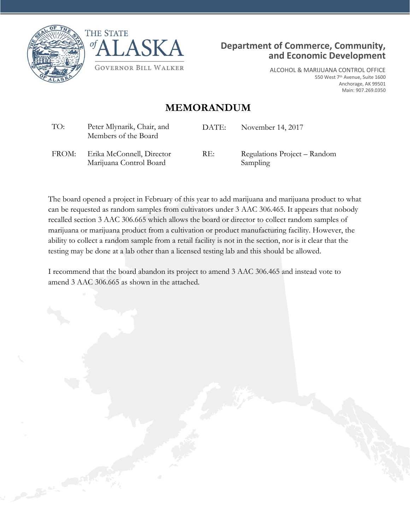





ALCOHOL & MARIJUANA CONTROL OFFICE 550 West 7th Avenue, Suite 1600 Anchorage, AK 99501 Main: 907.269.0350

## **MEMORANDUM**

| TO:   | Peter Mlynarik, Chair, and<br>Members of the Board   | DATE: | November 14, 2017                        |
|-------|------------------------------------------------------|-------|------------------------------------------|
| FROM: | Erika McConnell, Director<br>Marijuana Control Board | RE:   | Regulations Project – Random<br>Sampling |

The board opened a project in February of this year to add marijuana and marijuana product to what can be requested as random samples from cultivators under 3 AAC 306.465. It appears that nobody recalled section 3 AAC 306.665 which allows the board or director to collect random samples of marijuana or marijuana product from a cultivation or product manufacturing facility. However, the ability to collect a random sample from a retail facility is not in the section, nor is it clear that the testing may be done at a lab other than a licensed testing lab and this should be allowed.

I recommend that the board abandon its project to amend 3 AAC 306.465 and instead vote to amend 3 AAC 306.665 as shown in the attached.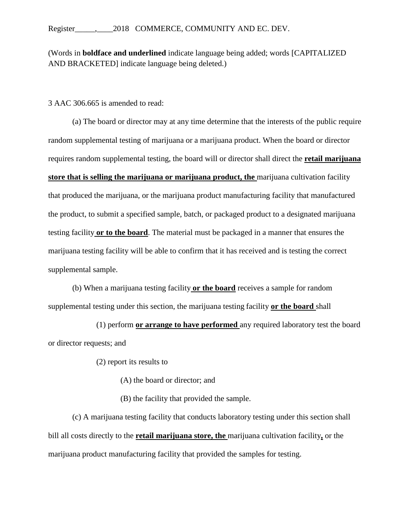(Words in **boldface and underlined** indicate language being added; words [CAPITALIZED AND BRACKETED] indicate language being deleted.)

3 AAC 306.665 is amended to read:

(a) The board or director may at any time determine that the interests of the public require random supplemental testing of marijuana or a marijuana product. When the board or director requires random supplemental testing, the board will or director shall direct the **retail marijuana store that is selling the marijuana or marijuana product, the** marijuana cultivation facility that produced the marijuana, or the marijuana product manufacturing facility that manufactured the product, to submit a specified sample, batch, or packaged product to a designated marijuana testing facility **or to the board**. The material must be packaged in a manner that ensures the marijuana testing facility will be able to confirm that it has received and is testing the correct supplemental sample.

(b) When a marijuana testing facility **or the board** receives a sample for random supplemental testing under this section, the marijuana testing facility **or the board** shall

(1) perform **or arrange to have performed** any required laboratory test the board or director requests; and

(2) report its results to

(A) the board or director; and

(B) the facility that provided the sample.

(c) A marijuana testing facility that conducts laboratory testing under this section shall bill all costs directly to the **retail marijuana store, the** marijuana cultivation facility**,** or the marijuana product manufacturing facility that provided the samples for testing.